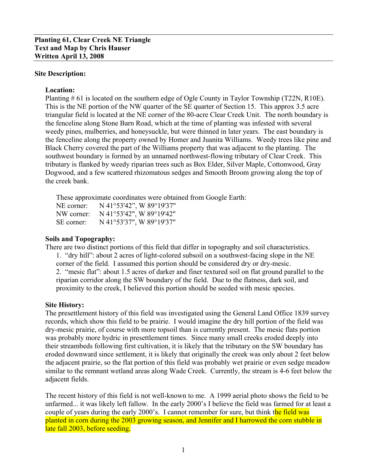#### **Site Description:**

#### **Location:**

Planting # 61 is located on the southern edge of Ogle County in Taylor Township (T22N, R10E). This is the NE portion of the NW quarter of the SE quarter of Section 15. This approx 3.5 acre triangular field is located at the NE corner of the 80-acre Clear Creek Unit. The north boundary is the fenceline along Stone Barn Road, which at the time of planting was infested with several weedy pines, mulberries, and honeysuckle, but were thinned in later years. The east boundary is the fenceline along the property owned by Homer and Juanita Williams. Weedy trees like pine and Black Cherry covered the part of the Williams property that was adjacent to the planting. The southwest boundary is formed by an unnamed northwest-flowing tributary of Clear Creek. This tributary is flanked by weedy riparian trees such as Box Elder, Silver Maple, Cottonwood, Gray Dogwood, and a few scattered rhizomatous sedges and Smooth Broom growing along the top of the creek bank.

These approximate coordinates were obtained from Google Earth:

| NE corner <sup>.</sup> | N 41°53'42", W 89°19'37" |
|------------------------|--------------------------|
| NW corner:             | N 41°53'42", W 89°19'42" |
| SE corner:             | N 41°53'37", W 89°19'37" |

#### **Soils and Topography:**

There are two distinct portions of this field that differ in topography and soil characteristics. 1. "dry hill": about 2 acres of light-colored subsoil on a southwest-facing slope in the NE corner of the field. I assumed this portion should be considered dry or dry-mesic. 2. "mesic flat": about 1.5 acres of darker and finer textured soil on flat ground parallel to the riparian corridor along the SW boundary of the field. Due to the flatness, dark soil, and proximity to the creek, I believed this portion should be seeded with mesic species.

### **Site History:**

The presettlement history of this field was investigated using the General Land Office 1839 survey records, which show this field to be prairie. I would imagine the dry hill portion of the field was dry-mesic prairie, of course with more topsoil than is currently present. The mesic flats portion was probably more hydric in presettlement times. Since many small creeks eroded deeply into their streambeds following first cultivation, it is likely that the tributary on the SW boundary has eroded downward since settlement, it is likely that originally the creek was only about 2 feet below the adjacent prairie, so the flat portion of this field was probably wet prairie or even sedge meadow similar to the remnant wetland areas along Wade Creek. Currently, the stream is 4-6 feet below the adjacent fields.

The recent history of this field is not well-known to me. A 1999 aerial photo shows the field to be unfarmed... it was likely left fallow. In the early 2000's I believe the field was farmed for at least a couple of years during the early 2000's. I cannot remember for sure, but think the field was planted in corn during the 2003 growing season, and Jennifer and I harrowed the corn stubble in late fall 2003, before seeding.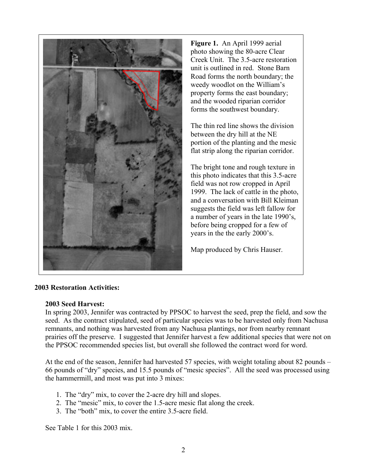

**Figure 1.** An April 1999 aerial photo showing the 80-acre Clear Creek Unit. The 3.5-acre restoration unit is outlined in red. Stone Barn Road forms the north boundary; the weedy woodlot on the William's property forms the east boundary; and the wooded riparian corridor forms the southwest boundary.

The thin red line shows the division between the dry hill at the NE portion of the planting and the mesic flat strip along the riparian corridor.

The bright tone and rough texture in this photo indicates that this 3.5-acre field was not row cropped in April 1999. The lack of cattle in the photo, and a conversation with Bill Kleiman suggests the field was left fallow for a number of years in the late 1990's, before being cropped for a few of years in the the early 2000's.

Map produced by Chris Hauser.

# **2003 Restoration Activities:**

### **2003 Seed Harvest:**

In spring 2003, Jennifer was contracted by PPSOC to harvest the seed, prep the field, and sow the seed. As the contract stipulated, seed of particular species was to be harvested only from Nachusa remnants, and nothing was harvested from any Nachusa plantings, nor from nearby remnant prairies off the preserve. I suggested that Jennifer harvest a few additional species that were not on the PPSOC recommended species list, but overall she followed the contract word for word.

At the end of the season, Jennifer had harvested 57 species, with weight totaling about 82 pounds – 66 pounds of "dry" species, and 15.5 pounds of "mesic species". All the seed was processed using the hammermill, and most was put into 3 mixes:

- 1. The "dry" mix, to cover the 2-acre dry hill and slopes.
- 2. The "mesic" mix, to cover the 1.5-acre mesic flat along the creek.
- 3. The "both" mix, to cover the entire 3.5-acre field.

See Table 1 for this 2003 mix.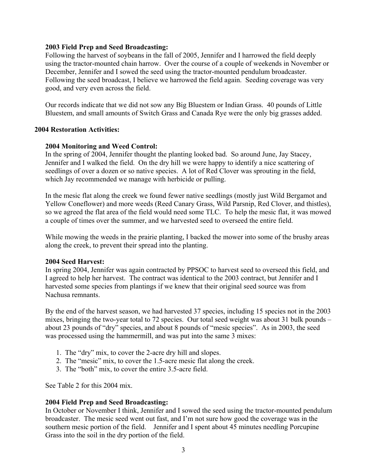#### **2003 Field Prep and Seed Broadcasting:**

Following the harvest of soybeans in the fall of 2005, Jennifer and I harrowed the field deeply using the tractor-mounted chain harrow. Over the course of a couple of weekends in November or December, Jennifer and I sowed the seed using the tractor-mounted pendulum broadcaster. Following the seed broadcast, I believe we harrowed the field again. Seeding coverage was very good, and very even across the field.

Our records indicate that we did not sow any Big Bluestem or Indian Grass. 40 pounds of Little Bluestem, and small amounts of Switch Grass and Canada Rye were the only big grasses added.

### **2004 Restoration Activities:**

### **2004 Monitoring and Weed Control:**

In the spring of 2004, Jennifer thought the planting looked bad. So around June, Jay Stacey, Jennifer and I walked the field. On the dry hill we were happy to identify a nice scattering of seedlings of over a dozen or so native species. A lot of Red Clover was sprouting in the field, which Jay recommended we manage with herbicide or pulling.

In the mesic flat along the creek we found fewer native seedlings (mostly just Wild Bergamot and Yellow Coneflower) and more weeds (Reed Canary Grass, Wild Parsnip, Red Clover, and thistles), so we agreed the flat area of the field would need some TLC. To help the mesic flat, it was mowed a couple of times over the summer, and we harvested seed to overseed the entire field.

While mowing the weeds in the prairie planting, I backed the mower into some of the brushy areas along the creek, to prevent their spread into the planting.

#### **2004 Seed Harvest:**

In spring 2004, Jennifer was again contracted by PPSOC to harvest seed to overseed this field, and I agreed to help her harvest. The contract was identical to the 2003 contract, but Jennifer and I harvested some species from plantings if we knew that their original seed source was from Nachusa remnants.

By the end of the harvest season, we had harvested 37 species, including 15 species not in the 2003 mixes, bringing the two-year total to 72 species. Our total seed weight was about 31 bulk pounds – about 23 pounds of "dry" species, and about 8 pounds of "mesic species". As in 2003, the seed was processed using the hammermill, and was put into the same 3 mixes:

- 1. The "dry" mix, to cover the 2-acre dry hill and slopes.
- 2. The "mesic" mix, to cover the 1.5-acre mesic flat along the creek.
- 3. The "both" mix, to cover the entire 3.5-acre field.

See Table 2 for this 2004 mix.

### **2004 Field Prep and Seed Broadcasting:**

In October or November I think, Jennifer and I sowed the seed using the tractor-mounted pendulum broadcaster. The mesic seed went out fast, and I'm not sure how good the coverage was in the southern mesic portion of the field. Jennifer and I spent about 45 minutes needling Porcupine Grass into the soil in the dry portion of the field.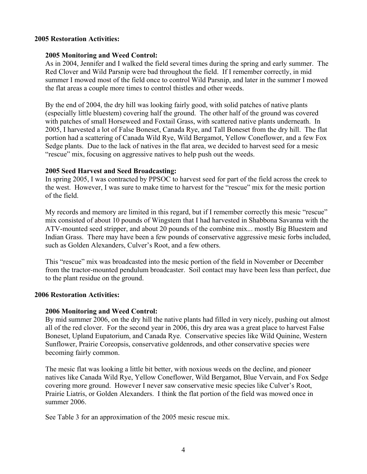## **2005 Restoration Activities:**

## **2005 Monitoring and Weed Control:**

As in 2004, Jennifer and I walked the field several times during the spring and early summer. The Red Clover and Wild Parsnip were bad throughout the field. If I remember correctly, in mid summer I mowed most of the field once to control Wild Parsnip, and later in the summer I mowed the flat areas a couple more times to control thistles and other weeds.

By the end of 2004, the dry hill was looking fairly good, with solid patches of native plants (especially little bluestem) covering half the ground. The other half of the ground was covered with patches of small Horseweed and Foxtail Grass, with scattered native plants underneath. In 2005, I harvested a lot of False Boneset, Canada Rye, and Tall Boneset from the dry hill. The flat portion had a scattering of Canada Wild Rye, Wild Bergamot, Yellow Coneflower, and a few Fox Sedge plants. Due to the lack of natives in the flat area, we decided to harvest seed for a mesic "rescue" mix, focusing on aggressive natives to help push out the weeds.

## **2005 Seed Harvest and Seed Broadcasting:**

In spring 2005, I was contracted by PPSOC to harvest seed for part of the field across the creek to the west. However, I was sure to make time to harvest for the "rescue" mix for the mesic portion of the field.

My records and memory are limited in this regard, but if I remember correctly this mesic "rescue" mix consisted of about 10 pounds of Wingstem that I had harvested in Shabbona Savanna with the ATV-mounted seed stripper, and about 20 pounds of the combine mix... mostly Big Bluestem and Indian Grass. There may have been a few pounds of conservative aggressive mesic forbs included, such as Golden Alexanders, Culver's Root, and a few others.

This "rescue" mix was broadcasted into the mesic portion of the field in November or December from the tractor-mounted pendulum broadcaster. Soil contact may have been less than perfect, due to the plant residue on the ground.

### **2006 Restoration Activities:**

# **2006 Monitoring and Weed Control:**

By mid summer 2006, on the dry hill the native plants had filled in very nicely, pushing out almost all of the red clover. For the second year in 2006, this dry area was a great place to harvest False Boneset, Upland Eupatorium, and Canada Rye. Conservative species like Wild Quinine, Western Sunflower, Prairie Coreopsis, conservative goldenrods, and other conservative species were becoming fairly common.

The mesic flat was looking a little bit better, with noxious weeds on the decline, and pioneer natives like Canada Wild Rye, Yellow Coneflower, Wild Bergamot, Blue Vervain, and Fox Sedge covering more ground. However I never saw conservative mesic species like Culver's Root, Prairie Liatris, or Golden Alexanders. I think the flat portion of the field was mowed once in summer 2006.

See Table 3 for an approximation of the 2005 mesic rescue mix.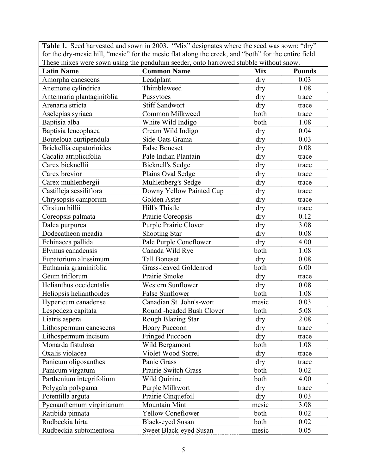**Table 1.** Seed harvested and sown in 2003. "Mix" designates where the seed was sown: "dry" for the dry-mesic hill, "mesic" for the mesic flat along the creek, and "both" for the entire field. These mixes were sown using the pendulum seeder, onto harrowed stubble without snow.

|                            | These macs were sown using the pendulum secuer, only harrowed studdle whillout show. |            |               |
|----------------------------|--------------------------------------------------------------------------------------|------------|---------------|
| <b>Latin Name</b>          | <b>Common Name</b>                                                                   | <b>Mix</b> | <b>Pounds</b> |
| Amorpha canescens          | Leadplant                                                                            | dry        | 0.03          |
| Anemone cylindrica         | Thimbleweed                                                                          | dry        | 1.08          |
| Antennaria plantaginifolia | Pussytoes                                                                            | dry        | trace         |
| Arenaria stricta           | <b>Stiff Sandwort</b>                                                                | dry        | trace         |
| Asclepias syriaca          | Common Milkweed                                                                      | both       | trace         |
| Baptisia alba              | White Wild Indigo                                                                    | both       | 1.08          |
| Baptisia leucophaea        | Cream Wild Indigo                                                                    | dry        | 0.04          |
| Bouteloua curtipendula     | Side-Oats Grama                                                                      | dry        | 0.03          |
| Brickellia eupatorioides   | <b>False Boneset</b>                                                                 | dry        | 0.08          |
| Cacalia atriplicifolia     | Pale Indian Plantain                                                                 | dry        | trace         |
| Carex bicknellii           | <b>Bicknell's Sedge</b>                                                              | dry        | trace         |
| Carex brevior              | Plains Oval Sedge                                                                    | dry        | trace         |
| Carex muhlenbergii         | Muhlenberg's Sedge                                                                   | dry        | trace         |
| Castilleja sessiliflora    | Downy Yellow Painted Cup                                                             | dry        | trace         |
| Chrysopsis camporum        | Golden Aster                                                                         | dry        | trace         |
| Cirsium hillii             | Hill's Thistle                                                                       | dry        | trace         |
| Coreopsis palmata          | Prairie Coreopsis                                                                    | dry        | 0.12          |
| Dalea purpurea             | Purple Prairie Clover                                                                | dry        | 3.08          |
| Dodecatheon meadia         | <b>Shooting Star</b>                                                                 | dry        | 0.08          |
| Echinacea pallida          | Pale Purple Coneflower                                                               | dry        | 4.00          |
| Elymus canadensis          | Canada Wild Rye                                                                      | both       | 1.08          |
| Eupatorium altissimum      | <b>Tall Boneset</b>                                                                  | dry        | 0.08          |
| Euthamia graminifolia      | Grass-leaved Goldenrod                                                               | both       | 6.00          |
| Geum triflorum             | Prairie Smoke                                                                        | dry        | trace         |
| Helianthus occidentalis    | <b>Western Sunflower</b>                                                             | dry        | 0.08          |
| Heliopsis helianthoides    | <b>False Sunflower</b>                                                               | both       | 1.08          |
| Hypericum canadense        | Canadian St. John's-wort                                                             | mesic      | 0.03          |
| Lespedeza capitata         | Round -headed Bush Clover                                                            | both       | 5.08          |
| Liatris aspera             | Rough Blazing Star                                                                   | dry        | 2.08          |
| Lithospermum canescens     | <b>Hoary Puccoon</b>                                                                 | dry        | trace         |
| Lithospermum incisum       | <b>Fringed Puccoon</b>                                                               | dry        | trace         |
| Monarda fistulosa          | Wild Bergamont                                                                       | both       | 1.08          |
| Oxalis violacea            | Violet Wood Sorrel                                                                   | dry        | trace         |
| Panicum oligosanthes       | Panic Grass                                                                          | dry        | trace         |
| Panicum virgatum           | Prairie Switch Grass                                                                 | both       | 0.02          |
| Parthenium integrifolium   | Wild Quinine                                                                         | both       | 4.00          |
| Polygala polygama          | Purple Milkwort                                                                      | dry        | trace         |
| Potentilla arguta          | Prairie Cinquefoil                                                                   | dry        | 0.03          |
| Pycnanthemum virginianum   | Mountain Mint                                                                        | mesic      | 3.08          |
| Ratibida pinnata           | <b>Yellow Coneflower</b>                                                             | both       | 0.02          |
| Rudbeckia hirta            | <b>Black-eyed Susan</b>                                                              | both       | 0.02          |
| Rudbeckia subtomentosa     | Sweet Black-eyed Susan                                                               | mesic      | 0.05          |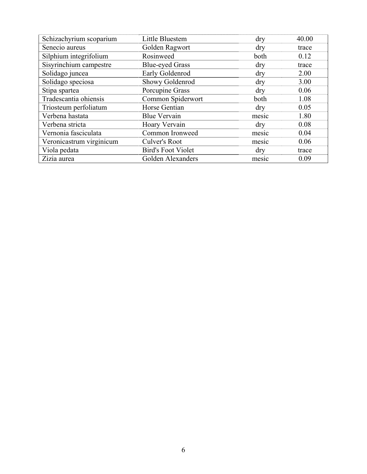| Schizachyrium scoparium  | Little Bluestem           | dry        | 40.00 |
|--------------------------|---------------------------|------------|-------|
| Senecio aureus           | Golden Ragwort            | $\rm{dry}$ | trace |
| Silphium integrifolium   | Rosinweed                 | both       | 0.12  |
| Sisyrinchium campestre   | <b>Blue-eyed Grass</b>    | dry        | trace |
| Solidago juncea          | Early Goldenrod           | dry        | 2.00  |
| Solidago speciosa        | Showy Goldenrod           | dry        | 3.00  |
| Stipa spartea            | Porcupine Grass           | dry        | 0.06  |
| Tradescantia ohiensis    | Common Spiderwort         | both       | 1.08  |
| Triosteum perfoliatum    | Horse Gentian             | dry        | 0.05  |
| Verbena hastata          | <b>Blue Vervain</b>       | mesic      | 1.80  |
| Verbena stricta          | Hoary Vervain             | dry        | 0.08  |
| Vernonia fasciculata     | Common Ironweed           | mesic      | 0.04  |
| Veronicastrum virginicum | Culver's Root             | mesic      | 0.06  |
| Viola pedata             | <b>Bird's Foot Violet</b> | dry        | trace |
| Zizia aurea              | Golden Alexanders         | mesic      | 0.09  |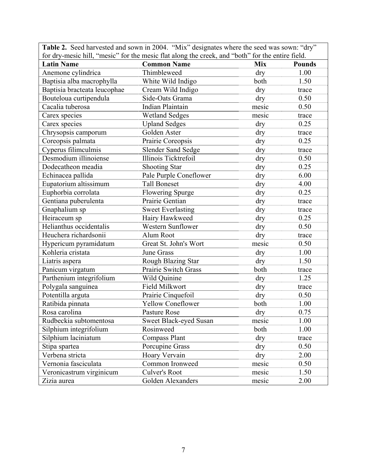|                                                                                                  | <b>Table 2.</b> Seed harvested and sown in 2004. "Mix" designates where the seed was sown: "dry" |            |               |
|--------------------------------------------------------------------------------------------------|--------------------------------------------------------------------------------------------------|------------|---------------|
| for dry-mesic hill, "mesic" for the mesic flat along the creek, and "both" for the entire field. |                                                                                                  |            |               |
| <b>Latin Name</b>                                                                                | <b>Common Name</b>                                                                               | <b>Mix</b> | <b>Pounds</b> |
| Anemone cylindrica                                                                               | Thimbleweed                                                                                      | dry        | 1.00          |
| Baptisia alba macrophylla                                                                        | White Wild Indigo                                                                                | both       | 1.50          |
| Baptisia bracteata leucophae                                                                     | Cream Wild Indigo                                                                                | dry        | trace         |
| Bouteloua curtipendula                                                                           | Side-Oats Grama                                                                                  | dry        | 0.50          |
| Cacalia tuberosa                                                                                 | Indian Plaintain                                                                                 | mesic      | 0.50          |
| Carex species                                                                                    | <b>Wetland Sedges</b>                                                                            | mesic      | trace         |
| Carex species                                                                                    | <b>Upland Sedges</b>                                                                             | dry        | 0.25          |
| Chrysopsis camporum                                                                              | Golden Aster                                                                                     | dry        | trace         |
| Coreopsis palmata                                                                                | Prairie Coreopsis                                                                                | dry        | 0.25          |
| Cyperus filimculmis                                                                              | <b>Slender Sand Sedge</b>                                                                        | dry        | trace         |
| Desmodium illinoiense                                                                            | Illinois Ticktrefoil                                                                             | dry        | 0.50          |
| Dodecatheon meadia                                                                               | <b>Shooting Star</b>                                                                             | dry        | 0.25          |
| Echinacea pallida                                                                                | Pale Purple Coneflower                                                                           | dry        | 6.00          |
| Eupatorium altissimum                                                                            | <b>Tall Boneset</b>                                                                              | dry        | 4.00          |
| Euphorbia corrolata                                                                              | <b>Flowering Spurge</b>                                                                          | dry        | 0.25          |
| Gentiana puberulenta                                                                             | Prairie Gentian                                                                                  | dry        | trace         |
| Gnaphalium sp                                                                                    | <b>Sweet Everlasting</b>                                                                         | dry        | trace         |
| Heiraceum sp                                                                                     | Hairy Hawkweed                                                                                   | dry        | 0.25          |
| Helianthus occidentalis                                                                          | Western Sunflower                                                                                | dry        | 0.50          |
| Heuchera richardsonii                                                                            | Alum Root                                                                                        | dry        | trace         |
| Hypericum pyramidatum                                                                            | Great St. John's Wort                                                                            | mesic      | 0.50          |
| Kohleria cristata                                                                                | June Grass                                                                                       | dry        | 1.00          |
| Liatris aspera                                                                                   | Rough Blazing Star                                                                               | dry        | 1.50          |
| Panicum virgatum                                                                                 | Prairie Switch Grass                                                                             | both       | trace         |
| Parthenium integrifolium                                                                         | Wild Quinine                                                                                     | dry        | 1.25          |
| Polygala sanguinea                                                                               | Field Milkwort                                                                                   | dry        | trace         |
| Potentilla arguta                                                                                | Prairie Cinquefoil                                                                               | dry        | 0.50          |
| Ratibida pinnata                                                                                 | <b>Yellow Coneflower</b>                                                                         | both       | 1.00          |
| Rosa carolina                                                                                    | Pasture Rose                                                                                     | dry        | 0.75          |
| Rudbeckia subtomentosa                                                                           | Sweet Black-eyed Susan                                                                           | mesic      | 1.00          |
| Silphium integrifolium                                                                           | Rosinweed                                                                                        | both       | 1.00          |
| Silphium laciniatum                                                                              | <b>Compass Plant</b>                                                                             | dry        | trace         |
| Stipa spartea                                                                                    | Porcupine Grass                                                                                  | dry        | 0.50          |
| Verbena stricta                                                                                  | Hoary Vervain                                                                                    | dry        | 2.00          |
| Vernonia fasciculata                                                                             | Common Ironweed                                                                                  | mesic      | 0.50          |
| Veronicastrum virginicum                                                                         | Culver's Root                                                                                    | mesic      | 1.50          |
| Zizia aurea                                                                                      | Golden Alexanders                                                                                | mesic      | 2.00          |